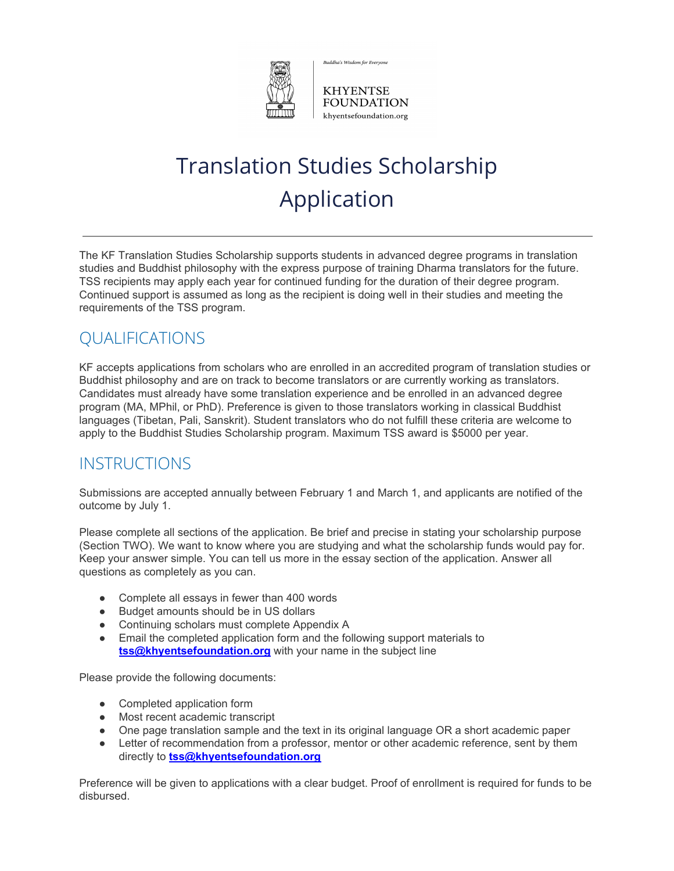

Buddha's Wisdom for Everyone

**KHYENTSE FOUNDATION** khyentsefoundation.org

# Translation Studies Scholarship Application

The KF Translation Studies Scholarship supports students in advanced degree programs in translation studies and Buddhist philosophy with the express purpose of training Dharma translators for the future. TSS recipients may apply each year for continued funding for the duration of their degree program. Continued support is assumed as long as the recipient is doing well in their studies and meeting the requirements of the TSS program.

# QUALIFICATIONS

KF accepts applications from scholars who are enrolled in an accredited program of translation studies or Buddhist philosophy and are on track to become translators or are currently working as translators. Candidates must already have some translation experience and be enrolled in an advanced degree program (MA, MPhil, or PhD). Preference is given to those translators working in classical Buddhist languages (Tibetan, Pali, Sanskrit). Student translators who do not fulfill these criteria are welcome to apply to the Buddhist Studies Scholarship program. Maximum TSS award is \$5000 per year.

### INSTRUCTIONS

Submissions are accepted annually between February 1 and March 1, and applicants are notified of the outcome by July 1.

Please complete all sections of the application. Be brief and precise in stating your scholarship purpose (Section TWO). We want to know where you are studying and what the scholarship funds would pay for. Keep your answer simple. You can tell us more in the essay section of the application. Answer all questions as completely as you can.

- Complete all essays in fewer than 400 words
- Budget amounts should be in US dollars
- Continuing scholars must complete Appendix A
- Email the completed application form and the following support materials to **tss@khyentsefoundation.org** with your name in the subject line

Please provide the following documents:

- Completed application form
- Most recent academic transcript
- One page translation sample and the text in its original language OR a short academic paper
- Letter of recommendation from a professor, mentor or other academic reference, sent by them directly to **tss@khyentsefoundation.org**

Preference will be given to applications with a clear budget. Proof of enrollment is required for funds to be disbursed.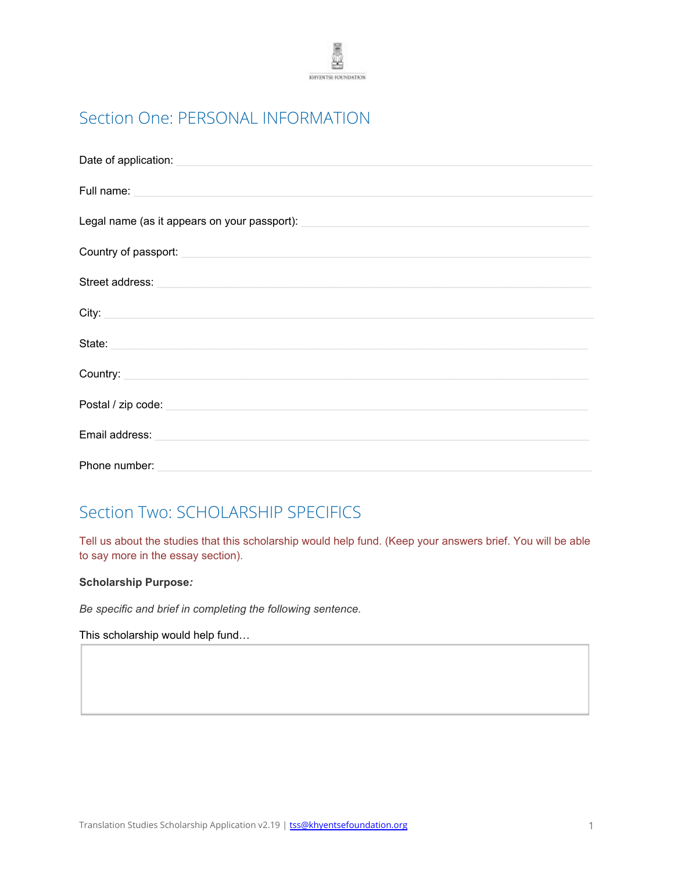

# Section One: PERSONAL INFORMATION

| Full name: <u>experience and a series of the series of the series of the series of the series of the series of the series of the series of the series of the series of the series of the series of the series of the series of t</u> |
|--------------------------------------------------------------------------------------------------------------------------------------------------------------------------------------------------------------------------------------|
| Legal name (as it appears on your passport): ___________________________________                                                                                                                                                     |
| Country of passport: <u>contract the contract of the contract of the contract of the contract of the contract of</u>                                                                                                                 |
| Street address: Note of the state of the state of the state of the state of the state of the state of the state of the state of the state of the state of the state of the state of the state of the state of the state of the       |
| City: <u>City:</u> City: 2004                                                                                                                                                                                                        |
| State:                                                                                                                                                                                                                               |
| Country: <b>Country: Country: Country: Country: Country: Country: Country: Country: Country: Country: Country: Country: Country: Country: Country: Country: </b>                                                                     |
| Postal / zip code: experience and a series of the series of the series of the series of the series of the series of the series of the series of the series of the series of the series of the series of the series of the seri       |
| Email address:                                                                                                                                                                                                                       |
| Phone number:                                                                                                                                                                                                                        |

### Section Two: SCHOLARSHIP SPECIFICS

Tell us about the studies that this scholarship would help fund. (Keep your answers brief. You will be able to say more in the essay section).

#### **Scholarship Purpose***:*

*Be specific and brief in completing the following sentence.*

This scholarship would help fund…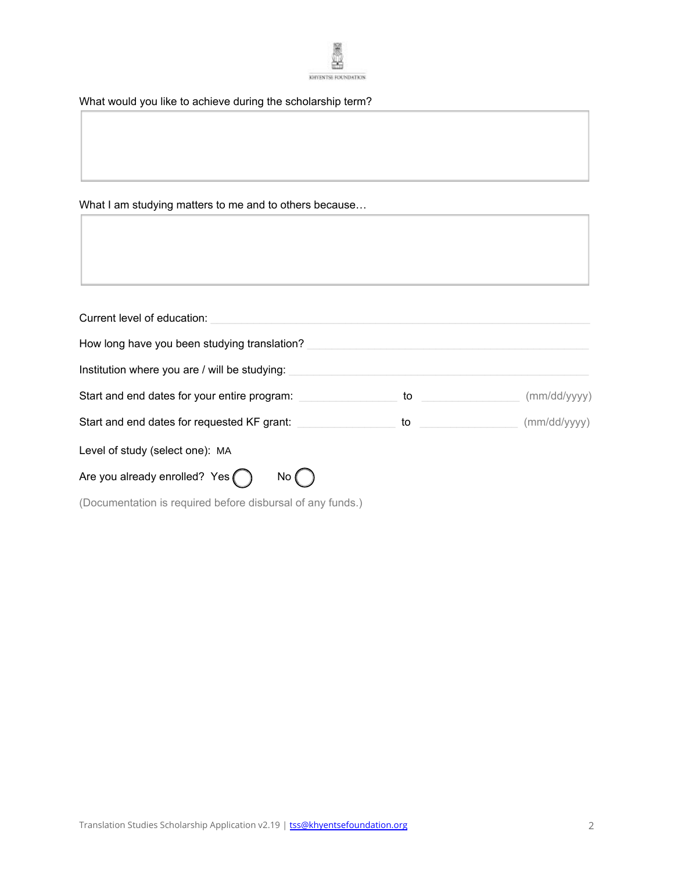

What would you like to achieve during the scholarship term?

What I am studying matters to me and to others because…

| Current level of education:                                |    |              |  |  |  |
|------------------------------------------------------------|----|--------------|--|--|--|
| How long have you been studying translation?               |    |              |  |  |  |
| Institution where you are / will be studying:              |    |              |  |  |  |
| Start and end dates for your entire program:               | to | (mm/dd/yyyy) |  |  |  |
| Start and end dates for requested KF grant:                | to | (mm/dd/yyy)  |  |  |  |
| Level of study (select one): MA                            |    |              |  |  |  |
| Are you already enrolled? Yes<br>No (                      |    |              |  |  |  |
| (Documentation is required before disbursal of any funds.) |    |              |  |  |  |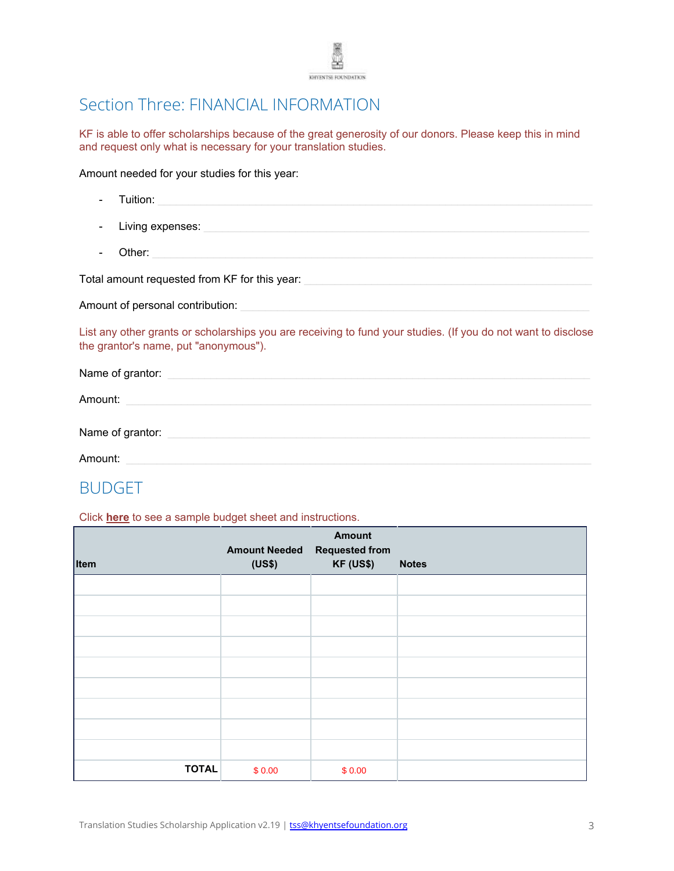

### Section Three: FINANCIAL INFORMATION

KF is able to offer scholarships because of the great generosity of our donors. Please keep this in mind and request only what is necessary for your translation studies.

Amount needed for your studies for this year:

| <b>Tuition:</b> Tuition:                                                                                                                               |
|--------------------------------------------------------------------------------------------------------------------------------------------------------|
|                                                                                                                                                        |
| Other:                                                                                                                                                 |
| Total amount requested from KF for this year: <b>All and Street and Street Area and Street</b> and Street and Street A                                 |
| Amount of personal contribution: example and an amount of personal contribution:                                                                       |
| List any other grants or scholarships you are receiving to fund your studies. (If you do not want to disclose<br>the grantor's name, put "anonymous"). |
| Name of grantor: example and a series of grant of the series of the series of the series of the series of the                                          |
| Amount: Amount: Amount: Amount: Amount: Amount: Amount: Amount: Amount: Amount: A                                                                      |
| Name of grantor: example and a series of the series of the series of the series of the series of the series of                                         |

Amount: \_\_\_\_\_\_\_\_\_\_\_\_\_\_\_\_\_\_\_\_\_\_\_\_\_\_\_\_\_\_\_\_\_\_\_\_\_\_\_\_\_\_\_\_\_\_\_\_\_\_\_\_\_\_\_\_\_\_\_\_\_\_\_\_\_\_\_\_\_\_\_\_\_\_\_\_

### BUDGET

Click **[here](http://khyentsefoundation.org/pdf/KF_BSS_IPG_BudgetSample.pdf)** to see a sample budget sheet and instructions.

| Item         | <b>Amount Needed Requested from</b><br>(US\$) | <b>Amount</b><br><b>KF (US\$)</b> | <b>Notes</b> |
|--------------|-----------------------------------------------|-----------------------------------|--------------|
|              |                                               |                                   |              |
|              |                                               |                                   |              |
|              |                                               |                                   |              |
|              |                                               |                                   |              |
|              |                                               |                                   |              |
|              |                                               |                                   |              |
|              |                                               |                                   |              |
|              |                                               |                                   |              |
|              |                                               |                                   |              |
| <b>TOTAL</b> | \$0.00                                        | \$0.00                            |              |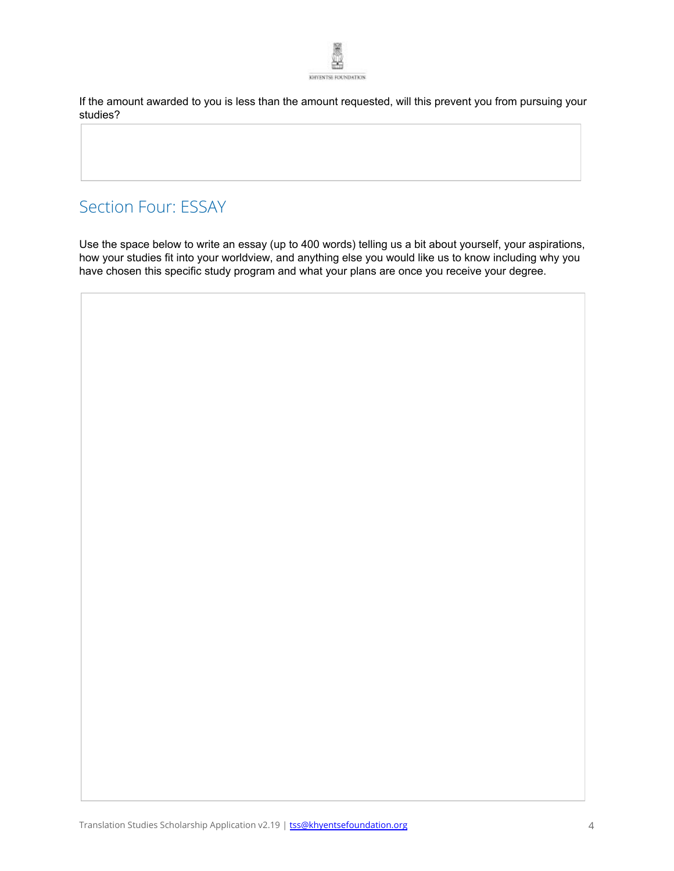

If the amount awarded to you is less than the amount requested, will this prevent you from pursuing your studies?

### Section Four: ESSAY

Use the space below to write an essay (up to 400 words) telling us a bit about yourself, your aspirations, how your studies fit into your worldview, and anything else you would like us to know including why you have chosen this specific study program and what your plans are once you receive your degree.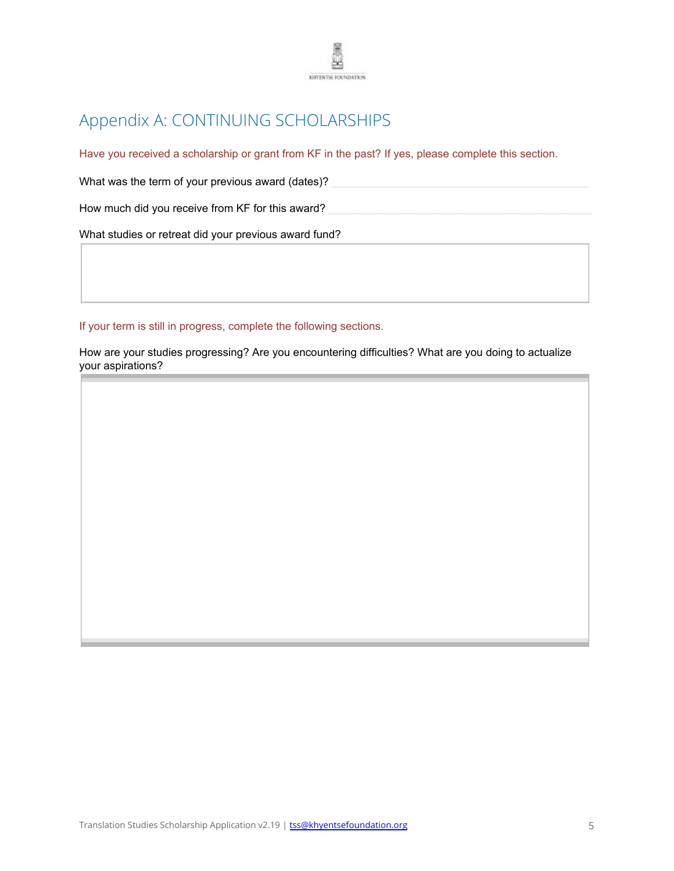

# Appendix A: CONTINUING SCHOLARSHIPS

Have you received a scholarship or grant from KF in the past? If yes, please complete this section.

What was the term of your previous award (dates)?

How much did you receive from KF for this award?

What studies or retreat did your previous award fund?

If your term is still in progress, complete the following sections.

How are your studies progressing? Are you encountering difficulties? What are you doing to actualize your aspirations?